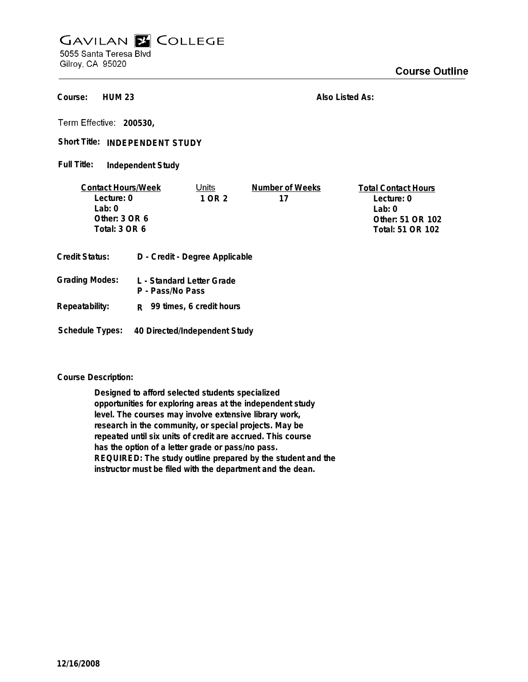## **GAVILAN E COLLEGE** 5055 Santa Teresa Blvd

Gilroy, CA 95020

**HUM 23 Course:**

**Also Listed As:**

**200530,**

Short Title: INDEPENDENT STUDY

**Independent Study Full Title:**

| <b>Contact Hours/Week</b> |                                | Units                     | Number of Weeks  | <b>Total Contact Hours</b> |
|---------------------------|--------------------------------|---------------------------|------------------|----------------------------|
| Lecture: 0                |                                | 1 OR 2                    | 17               | Lecture: 0                 |
| Lab:0                     |                                |                           |                  | Lab: $0$                   |
| Other: $3$ OR $6$         |                                |                           |                  | Other: 51 OR 102           |
| Total: 3 OR 6             |                                |                           | Total: 51 OR 102 |                            |
| <b>Credit Status:</b>     | D - Credit - Degree Applicable |                           |                  |                            |
| <b>Grading Modes:</b>     |                                | L - Standard Letter Grade |                  |                            |

- **P Pass/No Pass Repeatability: R 99 times, 6 credit hours**
- **Schedule Types: 40 Directed/Independent Study**

## **Course Description:**

**Designed to afford selected students specialized opportunities for exploring areas at the independent study level. The courses may involve extensive library work, research in the community, or special projects. May be repeated until six units of credit are accrued. This course has the option of a letter grade or pass/no pass. REQUIRED: The study outline prepared by the student and the instructor must be filed with the department and the dean.**